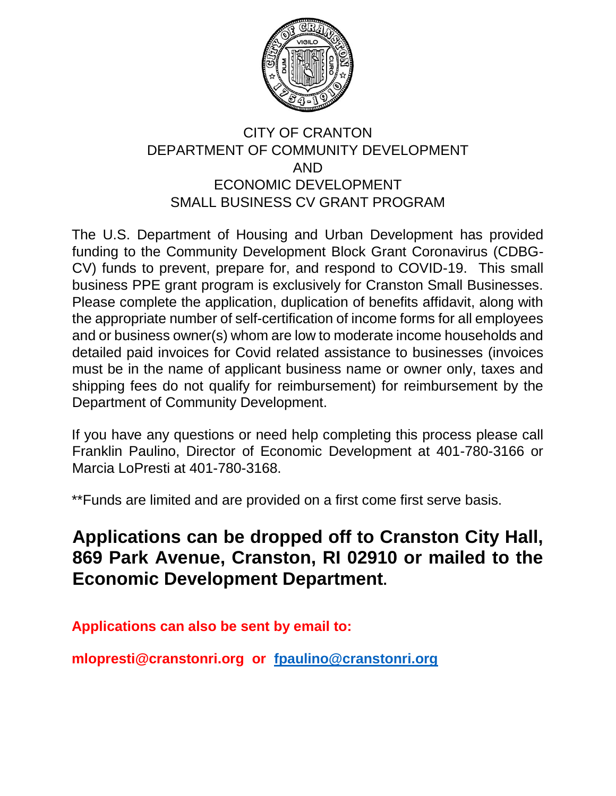

## CITY OF CRANTON DEPARTMENT OF COMMUNITY DEVELOPMENT AND ECONOMIC DEVELOPMENT SMALL BUSINESS CV GRANT PROGRAM

The U.S. Department of Housing and Urban Development has provided funding to the Community Development Block Grant Coronavirus (CDBG-CV) funds to prevent, prepare for, and respond to COVID-19. This small business PPE grant program is exclusively for Cranston Small Businesses. Please complete the application, duplication of benefits affidavit, along with the appropriate number of self-certification of income forms for all employees and or business owner(s) whom are low to moderate income households and detailed paid invoices for Covid related assistance to businesses (invoices must be in the name of applicant business name or owner only, taxes and shipping fees do not qualify for reimbursement) for reimbursement by the Department of Community Development.

If you have any questions or need help completing this process please call Franklin Paulino, Director of Economic Development at 401-780-3166 or Marcia LoPresti at 401-780-3168.

\*\*Funds are limited and are provided on a first come first serve basis.

## **Applications can be dropped off to Cranston City Hall, 869 Park Avenue, Cranston, RI 02910 or mailed to the Economic Development Department.**

**Applications can also be sent by email to:** 

**mlopresti@cranstonri.org or fpaulino@cranstonri.org**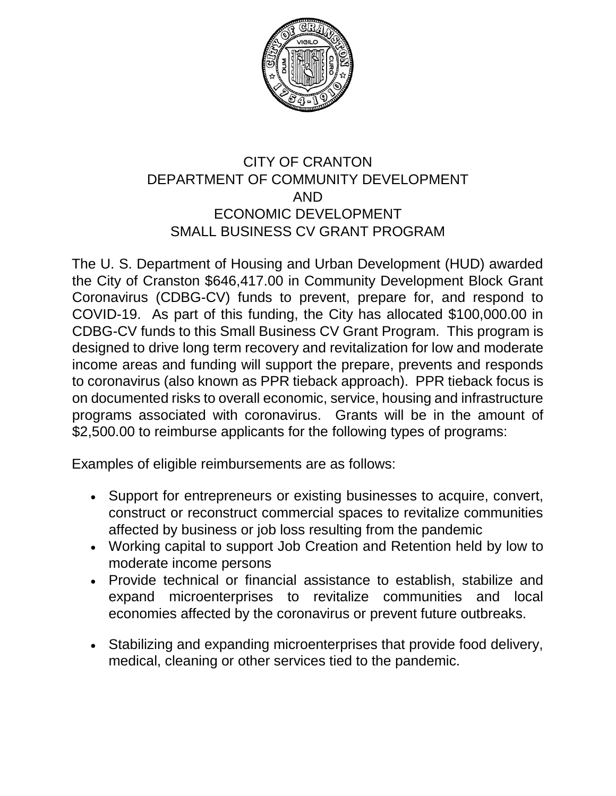

### CITY OF CRANTON DEPARTMENT OF COMMUNITY DEVELOPMENT AND ECONOMIC DEVELOPMENT SMALL BUSINESS CV GRANT PROGRAM

The U. S. Department of Housing and Urban Development (HUD) awarded the City of Cranston \$646,417.00 in Community Development Block Grant Coronavirus (CDBG-CV) funds to prevent, prepare for, and respond to COVID-19. As part of this funding, the City has allocated \$100,000.00 in CDBG-CV funds to this Small Business CV Grant Program. This program is designed to drive long term recovery and revitalization for low and moderate income areas and funding will support the prepare, prevents and responds to coronavirus (also known as PPR tieback approach). PPR tieback focus is on documented risks to overall economic, service, housing and infrastructure programs associated with coronavirus. Grants will be in the amount of \$2,500.00 to reimburse applicants for the following types of programs:

Examples of eligible reimbursements are as follows:

- Support for entrepreneurs or existing businesses to acquire, convert, construct or reconstruct commercial spaces to revitalize communities affected by business or job loss resulting from the pandemic
- Working capital to support Job Creation and Retention held by low to moderate income persons
- Provide technical or financial assistance to establish, stabilize and expand microenterprises to revitalize communities and local economies affected by the coronavirus or prevent future outbreaks.
- Stabilizing and expanding microenterprises that provide food delivery, medical, cleaning or other services tied to the pandemic.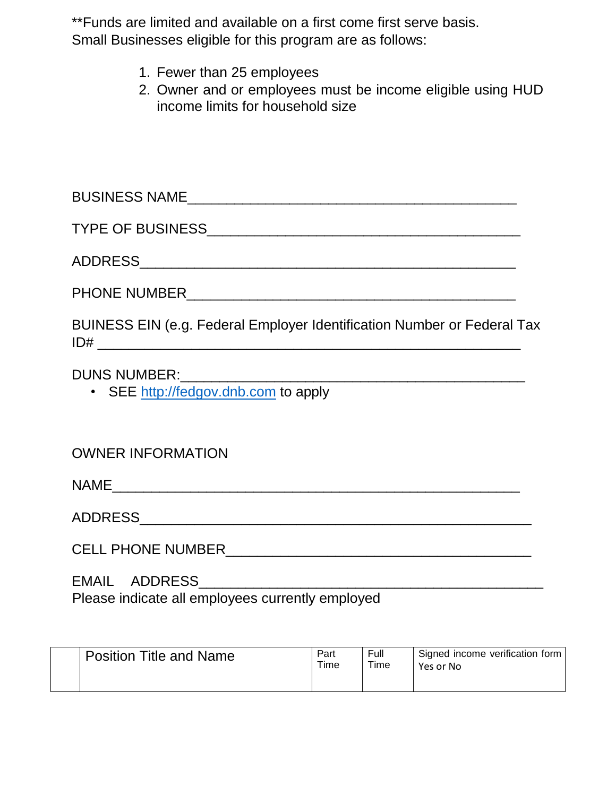\*\*Funds are limited and available on a first come first serve basis.

Small Businesses eligible for this program are as follows:

- 1. Fewer than 25 employees
- 2. Owner and or employees must be income eligible using HUD income limits for household size

| BUINESS EIN (e.g. Federal Employer Identification Number or Federal Tax                                                                                                                                                                                                |
|------------------------------------------------------------------------------------------------------------------------------------------------------------------------------------------------------------------------------------------------------------------------|
| DUNS NUMBER: University of the Second Second Second Second Second Second Second Second Second Second Second Second Second Second Second Second Second Second Second Second Second Second Second Second Second Second Second Se<br>• SEE http://fedgov.dnb.com to apply |
| <b>OWNER INFORMATION</b>                                                                                                                                                                                                                                               |
|                                                                                                                                                                                                                                                                        |
|                                                                                                                                                                                                                                                                        |
|                                                                                                                                                                                                                                                                        |

EMAIL ADDRESS\_\_\_\_\_\_\_\_\_\_\_\_\_\_\_\_\_\_\_\_\_\_\_\_\_\_\_\_\_\_\_\_\_\_\_\_\_\_\_\_\_\_\_\_ Please indicate all employees currently employed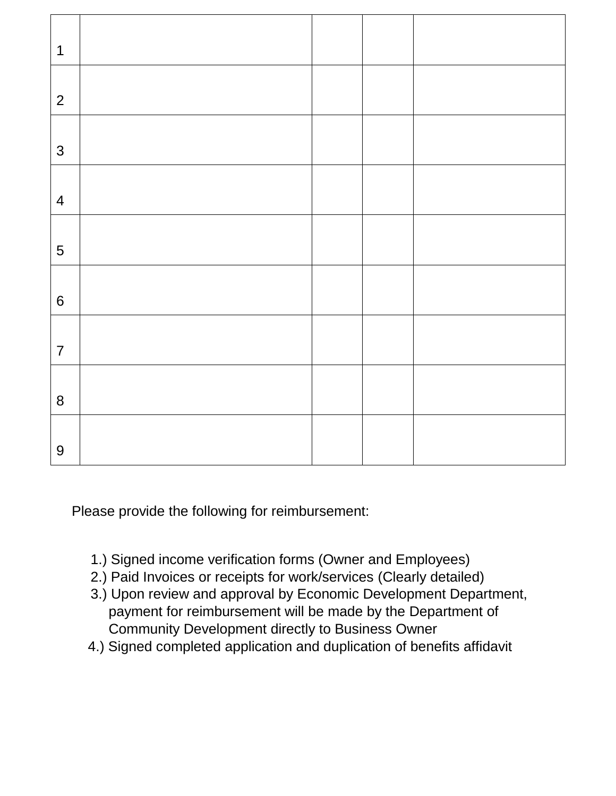| $\mathbf 1$      |  |  |
|------------------|--|--|
| $\overline{2}$   |  |  |
|                  |  |  |
| $\mathfrak{S}$   |  |  |
| $\overline{4}$   |  |  |
| 5                |  |  |
| $\boldsymbol{6}$ |  |  |
| $\overline{7}$   |  |  |
| 8                |  |  |
| $\overline{9}$   |  |  |

Please provide the following for reimbursement:

- 1.) Signed income verification forms (Owner and Employees)
- 2.) Paid Invoices or receipts for work/services (Clearly detailed)
- 3.) Upon review and approval by Economic Development Department, payment for reimbursement will be made by the Department of Community Development directly to Business Owner
- 4.) Signed completed application and duplication of benefits affidavit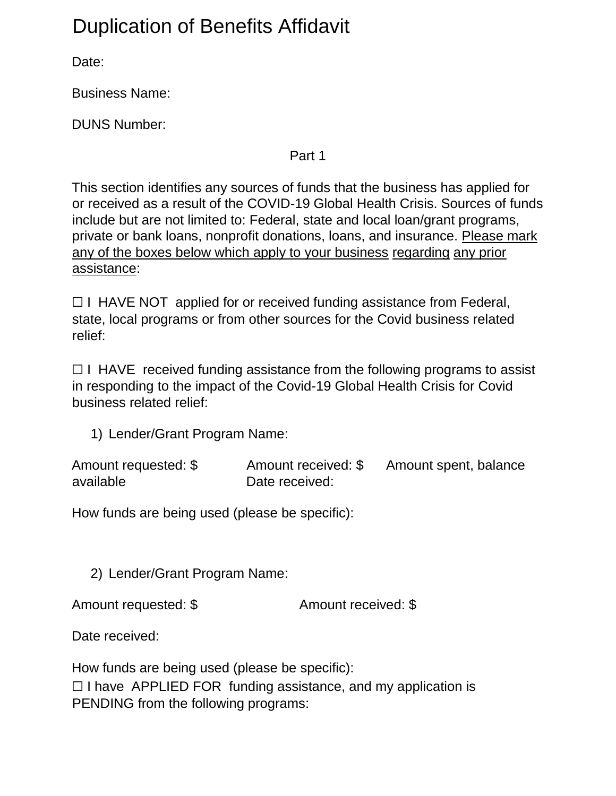# Duplication of Benefits Affidavit

Date:

Business Name:

DUNS Number:

Part 1

This section identifies any sources of funds that the business has applied for or received as a result of the COVID-19 Global Health Crisis. Sources of funds include but are not limited to: Federal, state and local loan/grant programs, private or bank loans, nonprofit donations, loans, and insurance. Please mark any of the boxes below which apply to your business regarding any prior assistance:

 $\Box$  I HAVE NOT applied for or received funding assistance from Federal, state, local programs or from other sources for the Covid business related relief:

 $\Box$  I HAVE received funding assistance from the following programs to assist in responding to the impact of the Covid-19 Global Health Crisis for Covid business related relief:

1) Lender/Grant Program Name:

| Amount requested: \$ | Amount received: \$ | Amount spent, balance |
|----------------------|---------------------|-----------------------|
| available            | Date received:      |                       |

How funds are being used (please be specific):

2) Lender/Grant Program Name:

Amount requested: \$ Amount received: \$

Date received:

How funds are being used (please be specific):  $\Box$  I have APPLIED FOR funding assistance, and my application is PENDING from the following programs: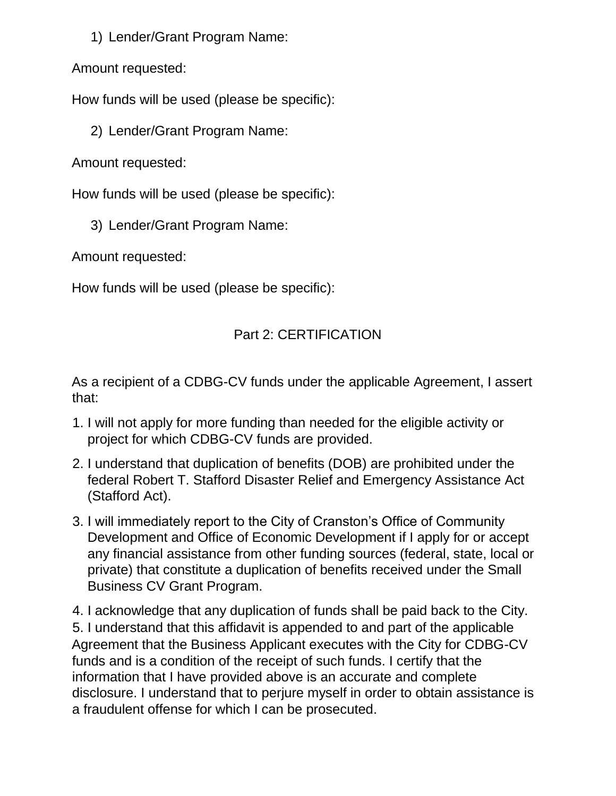1) Lender/Grant Program Name:

Amount requested:

How funds will be used (please be specific):

2) Lender/Grant Program Name:

Amount requested:

How funds will be used (please be specific):

3) Lender/Grant Program Name:

Amount requested:

How funds will be used (please be specific):

## Part 2: CERTIFICATION

As a recipient of a CDBG-CV funds under the applicable Agreement, I assert that:

- 1. I will not apply for more funding than needed for the eligible activity or project for which CDBG-CV funds are provided.
- 2. I understand that duplication of benefits (DOB) are prohibited under the federal Robert T. Stafford Disaster Relief and Emergency Assistance Act (Stafford Act).
- 3. I will immediately report to the City of Cranston's Office of Community Development and Office of Economic Development if I apply for or accept any financial assistance from other funding sources (federal, state, local or private) that constitute a duplication of benefits received under the Small Business CV Grant Program.

4. I acknowledge that any duplication of funds shall be paid back to the City. 5. I understand that this affidavit is appended to and part of the applicable Agreement that the Business Applicant executes with the City for CDBG-CV funds and is a condition of the receipt of such funds. I certify that the information that I have provided above is an accurate and complete disclosure. I understand that to perjure myself in order to obtain assistance is a fraudulent offense for which I can be prosecuted.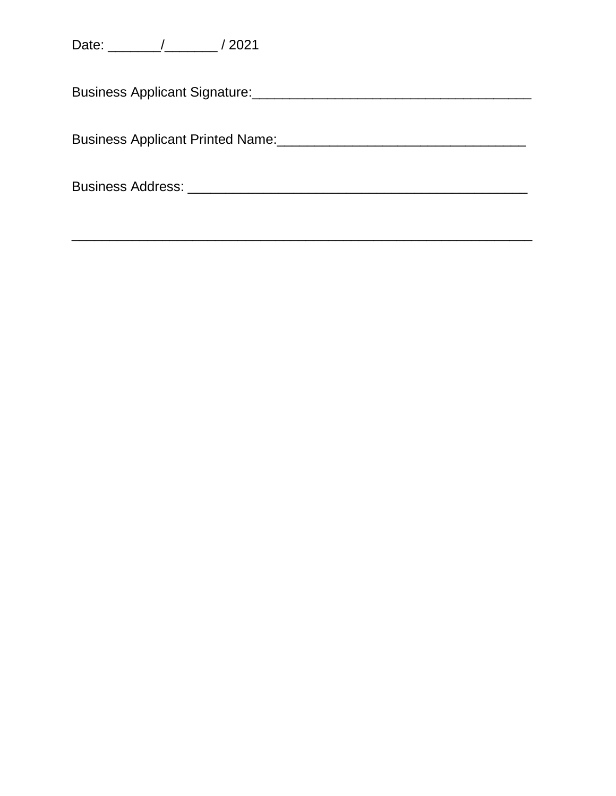Business Applicant Printed Name: 2008 2010 2020 2021 2021 2022 2023 2024 2022 2023 2024 2022 2023 2024 2022 20